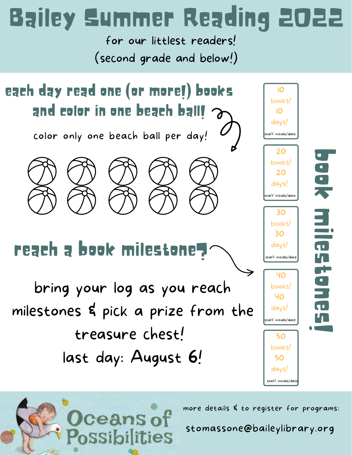## Bailey Summer Reading 2022

for our littlest readers! (second grade and below!)



ceans of<br>ossibilities

more details & to register for programs:

stomassone@baileylibrary.org